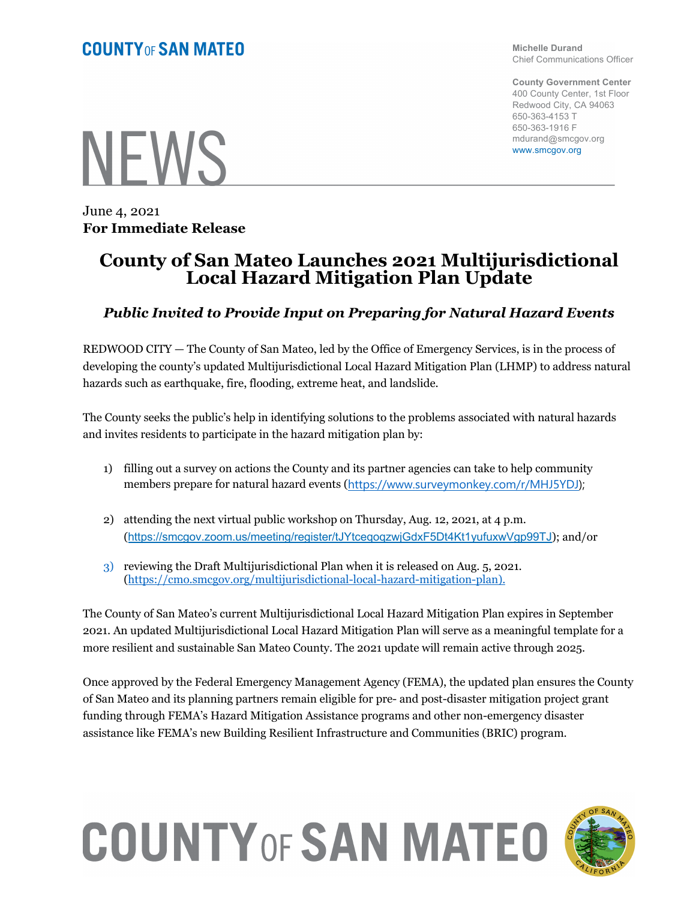**Michelle Durand** Chief Communications Officer

**County Government Center** 400 County Center, 1st Floor Redwood City, CA 94063 650-363-4153 T 650-363-1916 F mdurand@smcgov.org www.smcgov.org

**NFWS** 

June 4, 2021 **For Immediate Release**

## **County of San Mateo Launches 2021 Multijurisdictional Local Hazard Mitigation Plan Update**

## *Public Invited to Provide Input on Preparing for Natural Hazard Events*

REDWOOD CITY — The County of San Mateo, led by the Office of Emergency Services, is in the process of developing the county's updated Multijurisdictional Local Hazard Mitigation Plan (LHMP) to address natural hazards such as earthquake, fire, flooding, extreme heat, and landslide.

The County seeks the public's help in identifying solutions to the problems associated with natural hazards and invites residents to participate in the hazard mitigation plan by:

- 1) filling out a survey on actions the County and its partner agencies can take to help community members prepare for natural hazard events (https://www.surveymonkey.com/r/MHJ5YDJ);
- 2) attending the next virtual public workshop on Thursday, Aug. 12, 2021, at 4 p.m. (https://smcgov.zoom.us/meeting/register/tJYtceqoqzwjGdxF5Dt4Kt1yufuxwVgp99TJ); and/or
- 3) reviewing the Draft Multijurisdictional Plan when it is released on Aug. 5, 2021. (https://cmo.smcgov.org/multijurisdictional-local-hazard-mitigation-plan).

The County of San Mateo's current Multijurisdictional Local Hazard Mitigation Plan expires in September 2021. An updated Multijurisdictional Local Hazard Mitigation Plan will serve as a meaningful template for a more resilient and sustainable San Mateo County. The 2021 update will remain active through 2025.

Once approved by the Federal Emergency Management Agency (FEMA), the updated plan ensures the County of San Mateo and its planning partners remain eligible for pre- and post-disaster mitigation project grant funding through FEMA's Hazard Mitigation Assistance programs and other non-emergency disaster assistance like FEMA's new Building Resilient Infrastructure and Communities (BRIC) program.

## **COUNTY OF SAN MATEO**